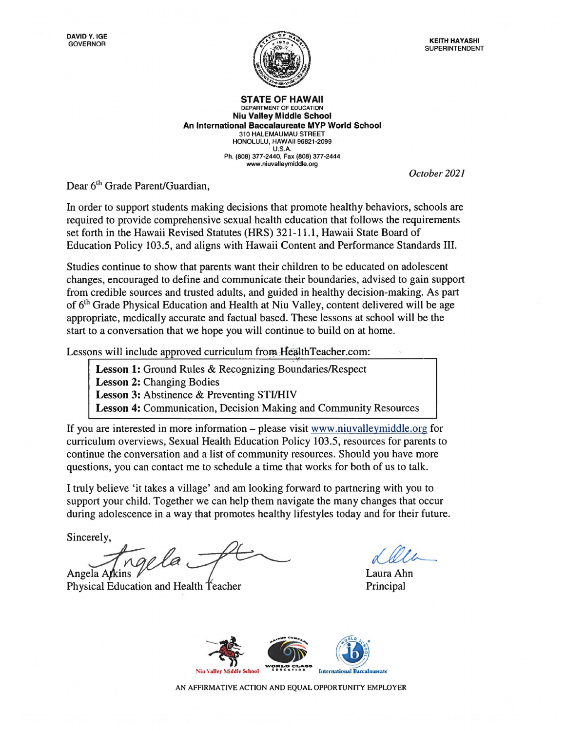**STATE OF HAWAII** DEPARTMENT OF EDUCATION **Niu Valley Middle School An International Baccalaureate MVP World School**  310 HALEMAUMAU STREET HONOLULU, HAWAII 96821-2099 U.S.A. Ph. (808) 377-2440, Fax (808) 377-2444 <www.niuvalleymiddle.org>

*October 2021* 

Dear 6<sup>th</sup> Grade Parent/Guardian,

In order to support students making decisions that promote healthy behaviors, schools are required to provide comprehensive sexual health education that follows the requirements set forth in the Hawaii Revised Statutes **(HRS)** 321-11.1, Hawaii State Board of Education Policy 103.5, and aligns with Hawaii Content and Performance Standards III.

Studies continue to show that parents want their children to be educated on adolescent changes, encouraged to define and communicate their boundaries, advised to gain support from credible sources and trusted adults, and guided in healthy decision-making. As part of 6<sup>th</sup> Grade Physical Education and Health at Niu Valley, content delivered will be age appropriate, medically accurate and factual based. These lessons at school will be the start to a conversation that we hope you will continue to build on at home.

Lessons will include approved curriculum from HealthTeacher.com:

**Lesson 1:** Ground Rules & Recognizing Boundaries/Respect Lesson 2: Changing Bodies **Lesson 3:** Abstinence & Preventing STI/HIV **Lesson 4:** Communication, Decision Making and Community Resources

If you are interested in more information – please visit <www.niuvalleymiddle.org> for curriculum overviews, Sexual Health Education Policy 103.5, resources for parents to continue the conversation and a list of community resources. Should you have more questions, you can contact me to schedule a time that works for both of us to talk.

I truly believe 'it takes a village' and am looking forward to partnering with you to support your child. Together we can help them navigate the many changes that occur during adolescence in a way that promotes healthy lifestyles today and for their future.

Sincerely,<br>Angela Arkins Physical Education and Health Teacher Physical Education and Health Teacher Principal

Physical Education and Health Teacher Theorem Principal



AN AFFIRMATIVE ACTION AND EQUAL OPPORTUNITY EMPLOYER